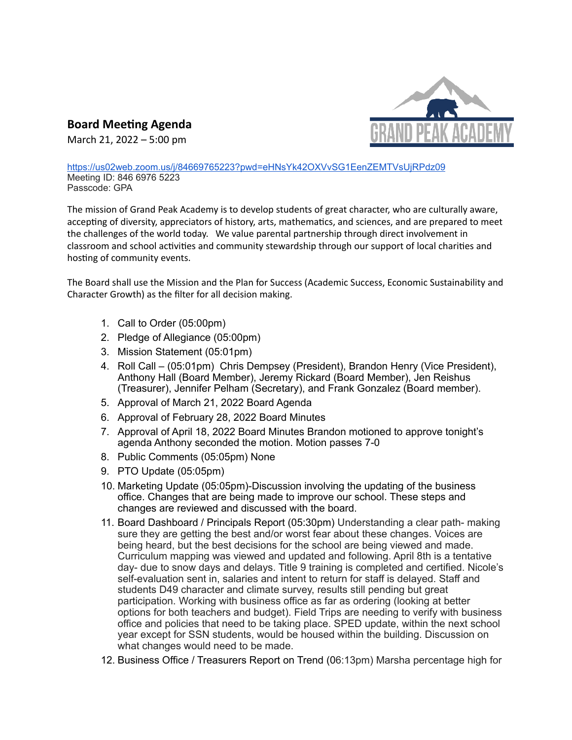

**Board Meeting Agenda**

March 21, 2022 – 5:00 pm

[https://us02web.zoom.us/j/84669765223?pwd=eHNsYk42OXVvSG1EenZEMTVsUjRPdz09](https://www.google.com/url?q=https://us02web.zoom.us/j/84669765223?pwd=eHNsYk42OXVvSG1EenZEMTVsUjRPdz09&sa=D&ust=1645896800128000&usg=AOvVaw0BzuimexpDtvtTjEgwGCxe) Meeting ID: 846 6976 5223 Passcode: GPA

The mission of Grand Peak Academy is to develop students of great character, who are culturally aware, accepting of diversity, appreciators of history, arts, mathematics, and sciences, and are prepared to meet the challenges of the world today. We value parental partnership through direct involvement in classroom and school activities and community stewardship through our support of local charities and hosting of community events.

The Board shall use the Mission and the Plan for Success (Academic Success, Economic Sustainability and Character Growth) as the filter for all decision making.

- 1. Call to Order (05:00pm)
- 2. Pledge of Allegiance (05:00pm)
- 3. Mission Statement (05:01pm)
- 4. Roll Call (05:01pm) Chris Dempsey (President), Brandon Henry (Vice President), Anthony Hall (Board Member), Jeremy Rickard (Board Member), Jen Reishus (Treasurer), Jennifer Pelham (Secretary), and Frank Gonzalez (Board member).
- 5. Approval of March 21, 2022 Board Agenda
- 6. Approval of February 28, 2022 Board Minutes
- 7. Approval of April 18, 2022 Board Minutes Brandon motioned to approve tonight's agenda Anthony seconded the motion. Motion passes 7-0
- 8. Public Comments (05:05pm) None
- 9. PTO Update (05:05pm)
- 10. Marketing Update (05:05pm)-Discussion involving the updating of the business office. Changes that are being made to improve our school. These steps and changes are reviewed and discussed with the board.
- 11. Board Dashboard / Principals Report (05:30pm) Understanding a clear path- making sure they are getting the best and/or worst fear about these changes. Voices are being heard, but the best decisions for the school are being viewed and made. Curriculum mapping was viewed and updated and following. April 8th is a tentative day- due to snow days and delays. Title 9 training is completed and certified. Nicole's self-evaluation sent in, salaries and intent to return for staff is delayed. Staff and students D49 character and climate survey, results still pending but great participation. Working with business office as far as ordering (looking at better options for both teachers and budget). Field Trips are needing to verify with business office and policies that need to be taking place. SPED update, within the next school year except for SSN students, would be housed within the building. Discussion on what changes would need to be made.
- 12. Business Office / Treasurers Report on Trend (06:13pm) Marsha percentage high for